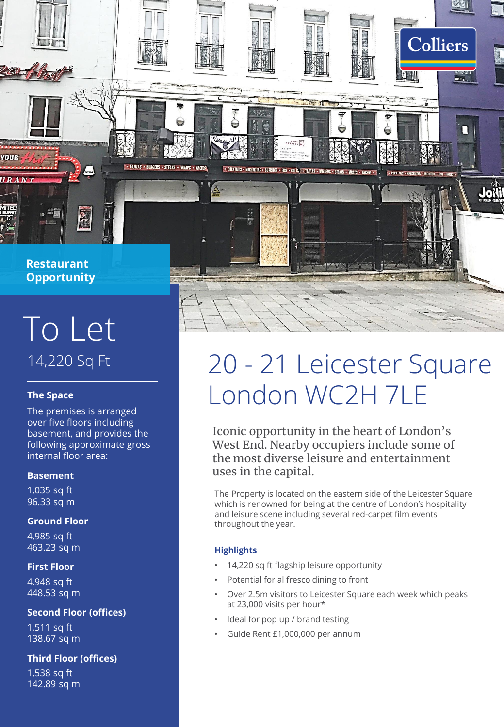

 $\frac{1}{2}$ 

YOUR

URANT

## 14,220 Sq Ft To Let

### **The Space**

The premises is arranged over five floors including basement, and provides the following approximate gross internal floor area:

### **Basement**

1,035 sq ft 96.33 sq m

### **Ground Floor**

4,985 sq ft 463.23 sq m

### **First Floor**

4,948 sq ft 448.53 sq m

### **Second Floor (offices)**

1,511 sq ft 138.67 sq m

### **Third Floor (offices)**

1,538 sq ft 142.89 sq m

# 20 - 21 Leicester Square London WC2H 7LE

**Colliers** 

П

Jolti

 $211$ 

Iconic opportunity in the heart of London's West End. Nearby occupiers include some of the most diverse leisure and entertainment uses in the capital.

The Property is located on the eastern side of the Leicester Square which is renowned for being at the centre of London's hospitality and leisure scene including several red-carpet film events throughout the year.

### **Highlights**

14,220 sq ft flagship leisure opportunity

SONO<sup>SI</sup>

. COCKTAILS - MARGARITAS - BURRITOS - FISH - GRILLA - FAJITAS - BU

- Potential for al fresco dining to front
- Over 2.5m visitors to Leicester Square each week which peaks at 23,000 visits per hour\*
- Ideal for pop up / brand testing
- Guide Rent £1,000,000 per annum